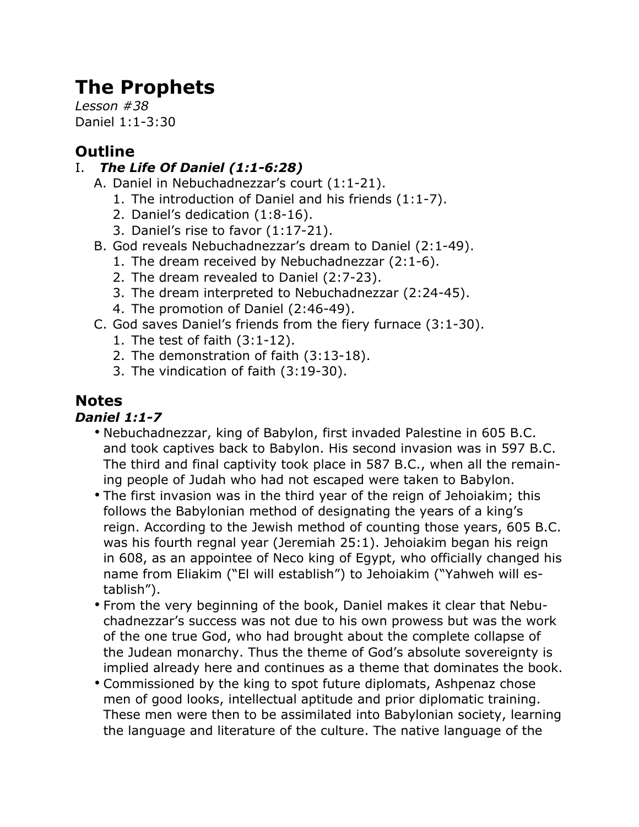# **The Prophets**

*Lesson #38* Daniel 1:1-3:30

# **Outline**

### I. *The Life Of Daniel (1:1-6:28)*

- A. Daniel in Nebuchadnezzar's court (1:1-21).
	- 1. The introduction of Daniel and his friends (1:1-7).
	- 2. Daniel's dedication (1:8-16).
	- 3. Daniel's rise to favor (1:17-21).
- B. God reveals Nebuchadnezzar's dream to Daniel (2:1-49).
	- 1. The dream received by Nebuchadnezzar (2:1-6).
	- 2. The dream revealed to Daniel (2:7-23).
	- 3. The dream interpreted to Nebuchadnezzar (2:24-45).
	- 4. The promotion of Daniel (2:46-49).
- C. God saves Daniel's friends from the fiery furnace (3:1-30).
	- 1. The test of faith (3:1-12).
	- 2. The demonstration of faith (3:13-18).
	- 3. The vindication of faith (3:19-30).

## **Notes**

### *Daniel 1:1-7*

- Nebuchadnezzar, king of Babylon, first invaded Palestine in 605 B.C. and took captives back to Babylon. His second invasion was in 597 B.C. The third and final captivity took place in 587 B.C., when all the remaining people of Judah who had not escaped were taken to Babylon.
- The first invasion was in the third year of the reign of Jehoiakim; this follows the Babylonian method of designating the years of a king's reign. According to the Jewish method of counting those years, 605 B.C. was his fourth regnal year (Jeremiah 25:1). Jehoiakim began his reign in 608, as an appointee of Neco king of Egypt, who officially changed his name from Eliakim ("El will establish") to Jehoiakim ("Yahweh will establish").
- From the very beginning of the book, Daniel makes it clear that Nebuchadnezzar's success was not due to his own prowess but was the work of the one true God, who had brought about the complete collapse of the Judean monarchy. Thus the theme of God's absolute sovereignty is implied already here and continues as a theme that dominates the book.
- Commissioned by the king to spot future diplomats, Ashpenaz chose men of good looks, intellectual aptitude and prior diplomatic training. These men were then to be assimilated into Babylonian society, learning the language and literature of the culture. The native language of the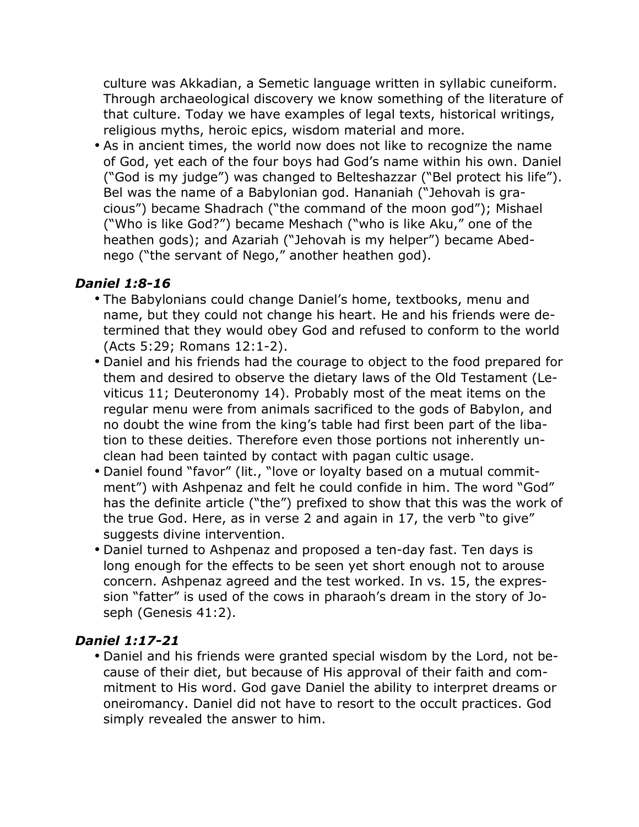culture was Akkadian, a Semetic language written in syllabic cuneiform. Through archaeological discovery we know something of the literature of that culture. Today we have examples of legal texts, historical writings, religious myths, heroic epics, wisdom material and more.

• As in ancient times, the world now does not like to recognize the name of God, yet each of the four boys had God's name within his own. Daniel ("God is my judge") was changed to Belteshazzar ("Bel protect his life"). Bel was the name of a Babylonian god. Hananiah ("Jehovah is gracious") became Shadrach ("the command of the moon god"); Mishael ("Who is like God?") became Meshach ("who is like Aku," one of the heathen gods); and Azariah ("Jehovah is my helper") became Abednego ("the servant of Nego," another heathen god).

#### *Daniel 1:8-16*

- The Babylonians could change Daniel's home, textbooks, menu and name, but they could not change his heart. He and his friends were determined that they would obey God and refused to conform to the world (Acts 5:29; Romans 12:1-2).
- Daniel and his friends had the courage to object to the food prepared for them and desired to observe the dietary laws of the Old Testament (Leviticus 11; Deuteronomy 14). Probably most of the meat items on the regular menu were from animals sacrificed to the gods of Babylon, and no doubt the wine from the king's table had first been part of the libation to these deities. Therefore even those portions not inherently unclean had been tainted by contact with pagan cultic usage.
- Daniel found "favor" (lit., "love or loyalty based on a mutual commitment") with Ashpenaz and felt he could confide in him. The word "God" has the definite article ("the") prefixed to show that this was the work of the true God. Here, as in verse 2 and again in 17, the verb "to give" suggests divine intervention.
- Daniel turned to Ashpenaz and proposed a ten-day fast. Ten days is long enough for the effects to be seen yet short enough not to arouse concern. Ashpenaz agreed and the test worked. In vs. 15, the expression "fatter" is used of the cows in pharaoh's dream in the story of Joseph (Genesis 41:2).

#### *Daniel 1:17-21*

• Daniel and his friends were granted special wisdom by the Lord, not because of their diet, but because of His approval of their faith and commitment to His word. God gave Daniel the ability to interpret dreams or oneiromancy. Daniel did not have to resort to the occult practices. God simply revealed the answer to him.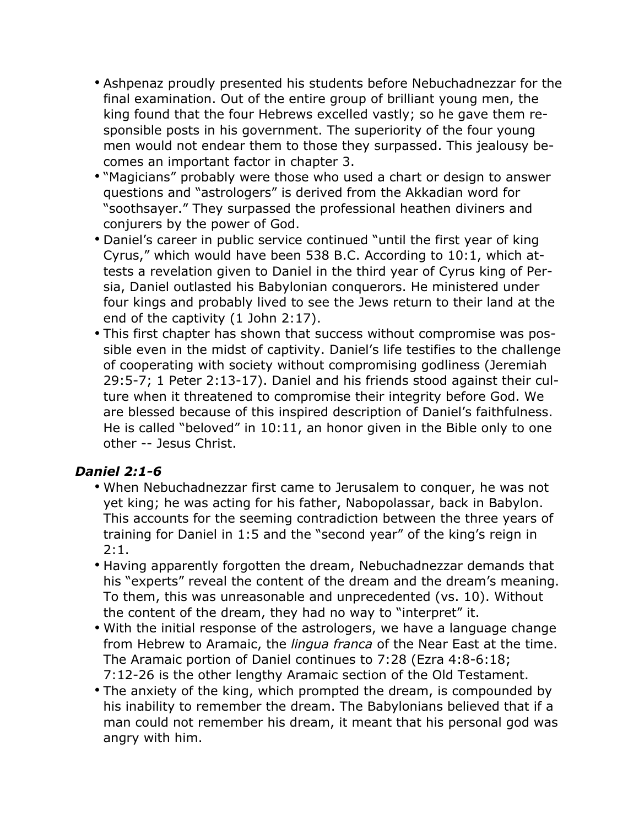- Ashpenaz proudly presented his students before Nebuchadnezzar for the final examination. Out of the entire group of brilliant young men, the king found that the four Hebrews excelled vastly; so he gave them responsible posts in his government. The superiority of the four young men would not endear them to those they surpassed. This jealousy becomes an important factor in chapter 3.
- "Magicians" probably were those who used a chart or design to answer questions and "astrologers" is derived from the Akkadian word for "soothsayer." They surpassed the professional heathen diviners and conjurers by the power of God.
- Daniel's career in public service continued "until the first year of king Cyrus," which would have been 538 B.C. According to 10:1, which attests a revelation given to Daniel in the third year of Cyrus king of Persia, Daniel outlasted his Babylonian conquerors. He ministered under four kings and probably lived to see the Jews return to their land at the end of the captivity (1 John 2:17).
- This first chapter has shown that success without compromise was possible even in the midst of captivity. Daniel's life testifies to the challenge of cooperating with society without compromising godliness (Jeremiah 29:5-7; 1 Peter 2:13-17). Daniel and his friends stood against their culture when it threatened to compromise their integrity before God. We are blessed because of this inspired description of Daniel's faithfulness. He is called "beloved" in 10:11, an honor given in the Bible only to one other -- Jesus Christ.

#### *Daniel 2:1-6*

- When Nebuchadnezzar first came to Jerusalem to conquer, he was not yet king; he was acting for his father, Nabopolassar, back in Babylon. This accounts for the seeming contradiction between the three years of training for Daniel in 1:5 and the "second year" of the king's reign in 2:1.
- Having apparently forgotten the dream, Nebuchadnezzar demands that his "experts" reveal the content of the dream and the dream's meaning. To them, this was unreasonable and unprecedented (vs. 10). Without the content of the dream, they had no way to "interpret" it.
- With the initial response of the astrologers, we have a language change from Hebrew to Aramaic, the *lingua franca* of the Near East at the time. The Aramaic portion of Daniel continues to 7:28 (Ezra 4:8-6:18; 7:12-26 is the other lengthy Aramaic section of the Old Testament.
- The anxiety of the king, which prompted the dream, is compounded by his inability to remember the dream. The Babylonians believed that if a man could not remember his dream, it meant that his personal god was angry with him.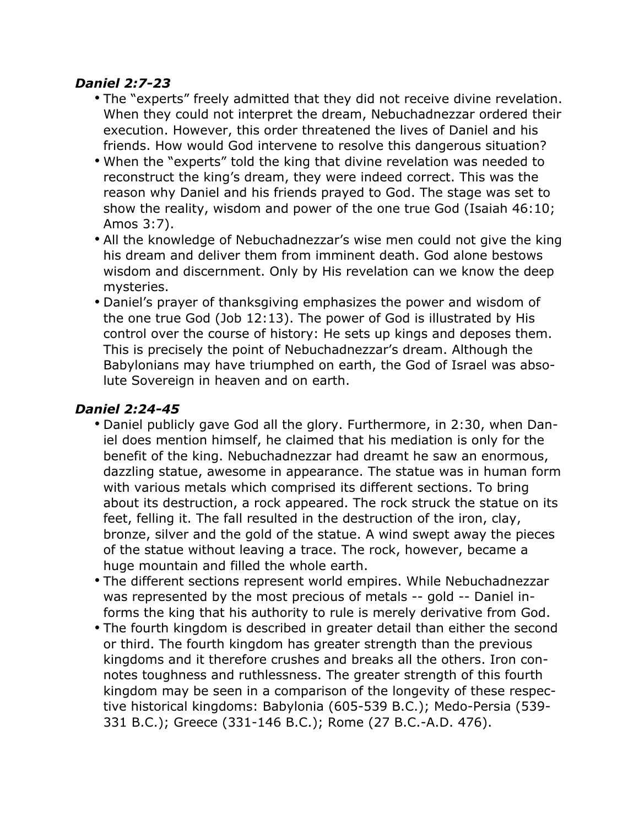#### *Daniel 2:7-23*

- The "experts" freely admitted that they did not receive divine revelation. When they could not interpret the dream, Nebuchadnezzar ordered their execution. However, this order threatened the lives of Daniel and his friends. How would God intervene to resolve this dangerous situation?
- When the "experts" told the king that divine revelation was needed to reconstruct the king's dream, they were indeed correct. This was the reason why Daniel and his friends prayed to God. The stage was set to show the reality, wisdom and power of the one true God (Isaiah 46:10; Amos 3:7).
- All the knowledge of Nebuchadnezzar's wise men could not give the king his dream and deliver them from imminent death. God alone bestows wisdom and discernment. Only by His revelation can we know the deep mysteries.
- Daniel's prayer of thanksgiving emphasizes the power and wisdom of the one true God (Job 12:13). The power of God is illustrated by His control over the course of history: He sets up kings and deposes them. This is precisely the point of Nebuchadnezzar's dream. Although the Babylonians may have triumphed on earth, the God of Israel was absolute Sovereign in heaven and on earth.

#### *Daniel 2:24-45*

- Daniel publicly gave God all the glory. Furthermore, in 2:30, when Daniel does mention himself, he claimed that his mediation is only for the benefit of the king. Nebuchadnezzar had dreamt he saw an enormous, dazzling statue, awesome in appearance. The statue was in human form with various metals which comprised its different sections. To bring about its destruction, a rock appeared. The rock struck the statue on its feet, felling it. The fall resulted in the destruction of the iron, clay, bronze, silver and the gold of the statue. A wind swept away the pieces of the statue without leaving a trace. The rock, however, became a huge mountain and filled the whole earth.
- The different sections represent world empires. While Nebuchadnezzar was represented by the most precious of metals -- gold -- Daniel informs the king that his authority to rule is merely derivative from God.
- The fourth kingdom is described in greater detail than either the second or third. The fourth kingdom has greater strength than the previous kingdoms and it therefore crushes and breaks all the others. Iron connotes toughness and ruthlessness. The greater strength of this fourth kingdom may be seen in a comparison of the longevity of these respective historical kingdoms: Babylonia (605-539 B.C.); Medo-Persia (539- 331 B.C.); Greece (331-146 B.C.); Rome (27 B.C.-A.D. 476).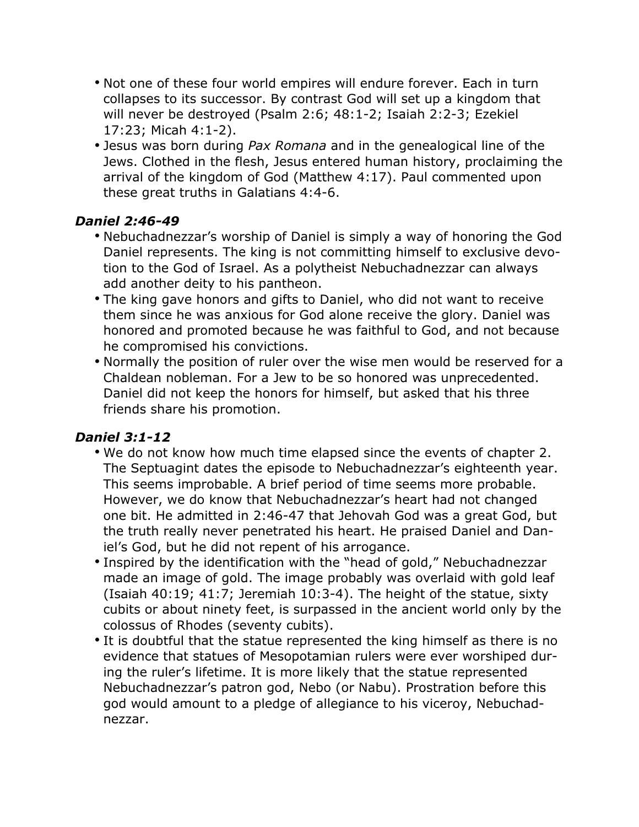- Not one of these four world empires will endure forever. Each in turn collapses to its successor. By contrast God will set up a kingdom that will never be destroyed (Psalm 2:6; 48:1-2; Isaiah 2:2-3; Ezekiel 17:23; Micah 4:1-2).
- Jesus was born during *Pax Romana* and in the genealogical line of the Jews. Clothed in the flesh, Jesus entered human history, proclaiming the arrival of the kingdom of God (Matthew 4:17). Paul commented upon these great truths in Galatians 4:4-6.

#### *Daniel 2:46-49*

- Nebuchadnezzar's worship of Daniel is simply a way of honoring the God Daniel represents. The king is not committing himself to exclusive devotion to the God of Israel. As a polytheist Nebuchadnezzar can always add another deity to his pantheon.
- The king gave honors and gifts to Daniel, who did not want to receive them since he was anxious for God alone receive the glory. Daniel was honored and promoted because he was faithful to God, and not because he compromised his convictions.
- Normally the position of ruler over the wise men would be reserved for a Chaldean nobleman. For a Jew to be so honored was unprecedented. Daniel did not keep the honors for himself, but asked that his three friends share his promotion.

#### *Daniel 3:1-12*

- We do not know how much time elapsed since the events of chapter 2. The Septuagint dates the episode to Nebuchadnezzar's eighteenth year. This seems improbable. A brief period of time seems more probable. However, we do know that Nebuchadnezzar's heart had not changed one bit. He admitted in 2:46-47 that Jehovah God was a great God, but the truth really never penetrated his heart. He praised Daniel and Daniel's God, but he did not repent of his arrogance.
- Inspired by the identification with the "head of gold," Nebuchadnezzar made an image of gold. The image probably was overlaid with gold leaf (Isaiah 40:19; 41:7; Jeremiah 10:3-4). The height of the statue, sixty cubits or about ninety feet, is surpassed in the ancient world only by the colossus of Rhodes (seventy cubits).
- It is doubtful that the statue represented the king himself as there is no evidence that statues of Mesopotamian rulers were ever worshiped during the ruler's lifetime. It is more likely that the statue represented Nebuchadnezzar's patron god, Nebo (or Nabu). Prostration before this god would amount to a pledge of allegiance to his viceroy, Nebuchadnezzar.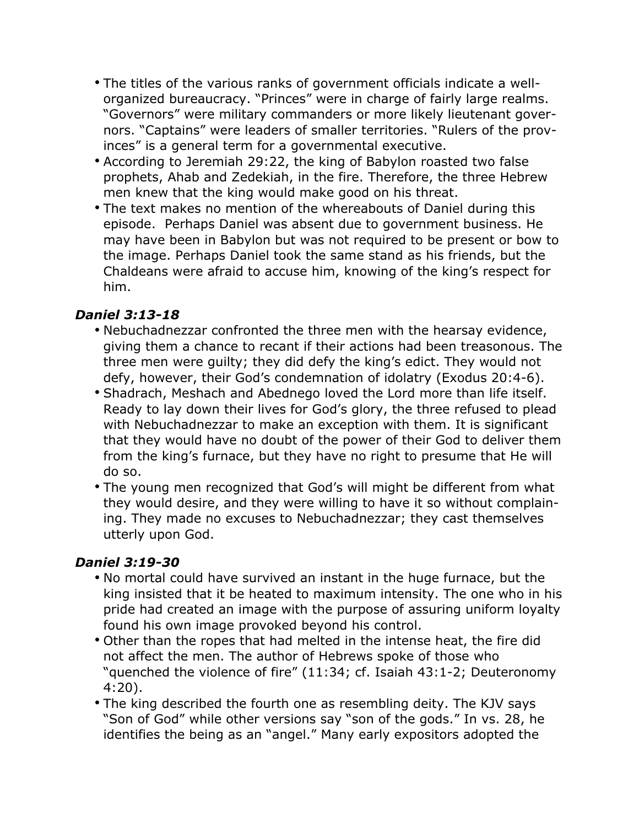- The titles of the various ranks of government officials indicate a wellorganized bureaucracy. "Princes" were in charge of fairly large realms. "Governors" were military commanders or more likely lieutenant governors. "Captains" were leaders of smaller territories. "Rulers of the provinces" is a general term for a governmental executive.
- According to Jeremiah 29:22, the king of Babylon roasted two false prophets, Ahab and Zedekiah, in the fire. Therefore, the three Hebrew men knew that the king would make good on his threat.
- The text makes no mention of the whereabouts of Daniel during this episode. Perhaps Daniel was absent due to government business. He may have been in Babylon but was not required to be present or bow to the image. Perhaps Daniel took the same stand as his friends, but the Chaldeans were afraid to accuse him, knowing of the king's respect for him.

#### *Daniel 3:13-18*

- Nebuchadnezzar confronted the three men with the hearsay evidence, giving them a chance to recant if their actions had been treasonous. The three men were guilty; they did defy the king's edict. They would not defy, however, their God's condemnation of idolatry (Exodus 20:4-6).
- Shadrach, Meshach and Abednego loved the Lord more than life itself. Ready to lay down their lives for God's glory, the three refused to plead with Nebuchadnezzar to make an exception with them. It is significant that they would have no doubt of the power of their God to deliver them from the king's furnace, but they have no right to presume that He will do so.
- The young men recognized that God's will might be different from what they would desire, and they were willing to have it so without complaining. They made no excuses to Nebuchadnezzar; they cast themselves utterly upon God.

#### *Daniel 3:19-30*

- No mortal could have survived an instant in the huge furnace, but the king insisted that it be heated to maximum intensity. The one who in his pride had created an image with the purpose of assuring uniform loyalty found his own image provoked beyond his control.
- Other than the ropes that had melted in the intense heat, the fire did not affect the men. The author of Hebrews spoke of those who "quenched the violence of fire" (11:34; cf. Isaiah 43:1-2; Deuteronomy 4:20).
- The king described the fourth one as resembling deity. The KJV says "Son of God" while other versions say "son of the gods." In vs. 28, he identifies the being as an "angel." Many early expositors adopted the